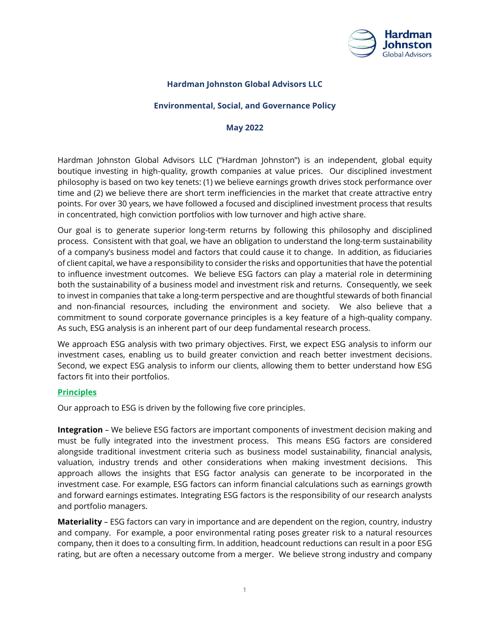

# **Hardman Johnston Global Advisors LLC**

## **Environmental, Social, and Governance Policy**

#### **May 2022**

Hardman Johnston Global Advisors LLC ("Hardman Johnston") is an independent, global equity boutique investing in high-quality, growth companies at value prices. Our disciplined investment philosophy is based on two key tenets: (1) we believe earnings growth drives stock performance over time and (2) we believe there are short term inefficiencies in the market that create attractive entry points. For over 30 years, we have followed a focused and disciplined investment process that results in concentrated, high conviction portfolios with low turnover and high active share.

Our goal is to generate superior long-term returns by following this philosophy and disciplined process. Consistent with that goal, we have an obligation to understand the long-term sustainability of a company's business model and factors that could cause it to change. In addition, as fiduciaries of client capital, we have a responsibility to consider the risks and opportunities that have the potential to influence investment outcomes. We believe ESG factors can play a material role in determining both the sustainability of a business model and investment risk and returns. Consequently, we seek to invest in companies that take a long-term perspective and are thoughtful stewards of both financial and non-financial resources, including the environment and society. We also believe that a commitment to sound corporate governance principles is a key feature of a high-quality company. As such, ESG analysis is an inherent part of our deep fundamental research process.

We approach ESG analysis with two primary objectives. First, we expect ESG analysis to inform our investment cases, enabling us to build greater conviction and reach better investment decisions. Second, we expect ESG analysis to inform our clients, allowing them to better understand how ESG factors fit into their portfolios.

#### **Principles**

Our approach to ESG is driven by the following five core principles.

**Integration** – We believe ESG factors are important components of investment decision making and must be fully integrated into the investment process. This means ESG factors are considered alongside traditional investment criteria such as business model sustainability, financial analysis, valuation, industry trends and other considerations when making investment decisions. This approach allows the insights that ESG factor analysis can generate to be incorporated in the investment case. For example, ESG factors can inform financial calculations such as earnings growth and forward earnings estimates. Integrating ESG factors is the responsibility of our research analysts and portfolio managers.

**Materiality** – ESG factors can vary in importance and are dependent on the region, country, industry and company. For example, a poor environmental rating poses greater risk to a natural resources company, then it does to a consulting firm. In addition, headcount reductions can result in a poor ESG rating, but are often a necessary outcome from a merger. We believe strong industry and company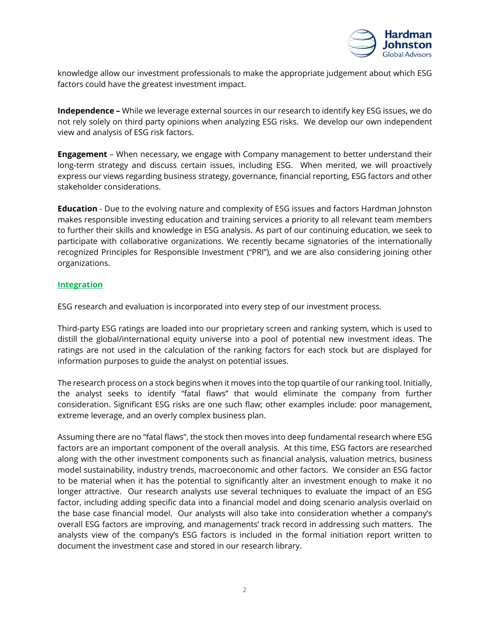

knowledge allow our investment professionals to make the appropriate judgement about which ESG factors could have the greatest investment impact.

**Independence –** While we leverage external sources in our research to identify key ESG issues, we do not rely solely on third party opinions when analyzing ESG risks. We develop our own independent view and analysis of ESG risk factors.

**Engagement** – When necessary, we engage with Company management to better understand their long-term strategy and discuss certain issues, including ESG. When merited, we will proactively express our views regarding business strategy, governance, financial reporting, ESG factors and other stakeholder considerations.

**Education** - Due to the evolving nature and complexity of ESG issues and factors Hardman Johnston makes responsible investing education and training services a priority to all relevant team members to further their skills and knowledge in ESG analysis. As part of our continuing education, we seek to participate with collaborative organizations. We recently became signatories of the internationally recognized Principles for Responsible Investment ("PRI"), and we are also considering joining other organizations.

## **Integration**

ESG research and evaluation is incorporated into every step of our investment process.

Third-party ESG ratings are loaded into our proprietary screen and ranking system, which is used to distill the global/international equity universe into a pool of potential new investment ideas. The ratings are not used in the calculation of the ranking factors for each stock but are displayed for information purposes to guide the analyst on potential issues.

The research process on a stock begins when it moves into the top quartile of our ranking tool. Initially, the analyst seeks to identify "fatal flaws" that would eliminate the company from further consideration. Significant ESG risks are one such flaw; other examples include: poor management, extreme leverage, and an overly complex business plan.

Assuming there are no "fatal flaws", the stock then moves into deep fundamental research where ESG factors are an important component of the overall analysis. At this time, ESG factors are researched along with the other investment components such as financial analysis, valuation metrics, business model sustainability, industry trends, macroeconomic and other factors. We consider an ESG factor to be material when it has the potential to significantly alter an investment enough to make it no longer attractive. Our research analysts use several techniques to evaluate the impact of an ESG factor, including adding specific data into a financial model and doing scenario analysis overlaid on the base case financial model.Our analysts will also take into consideration whether a company's overall ESG factors are improving, and managements' track record in addressing such matters. The analysts view of the company's ESG factors is included in the formal initiation report written to document the investment case and stored in our research library.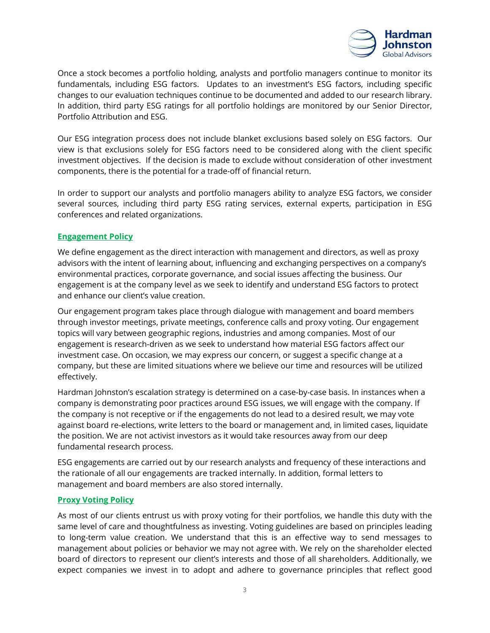

Once a stock becomes a portfolio holding, analysts and portfolio managers continue to monitor its fundamentals, including ESG factors. Updates to an investment's ESG factors, including specific changes to our evaluation techniques continue to be documented and added to our research library. In addition, third party ESG ratings for all portfolio holdings are monitored by our Senior Director, Portfolio Attribution and ESG.

Our ESG integration process does not include blanket exclusions based solely on ESG factors. Our view is that exclusions solely for ESG factors need to be considered along with the client specific investment objectives. If the decision is made to exclude without consideration of other investment components, there is the potential for a trade-off of financial return.

In order to support our analysts and portfolio managers ability to analyze ESG factors, we consider several sources, including third party ESG rating services, external experts, participation in ESG conferences and related organizations.

## **Engagement Policy**

We define engagement as the direct interaction with management and directors, as well as proxy advisors with the intent of learning about, influencing and exchanging perspectives on a company's environmental practices, corporate governance, and social issues affecting the business. Our engagement is at the company level as we seek to identify and understand ESG factors to protect and enhance our client's value creation.

Our engagement program takes place through dialogue with management and board members through investor meetings, private meetings, conference calls and proxy voting. Our engagement topics will vary between geographic regions, industries and among companies. Most of our engagement is research-driven as we seek to understand how material ESG factors affect our investment case. On occasion, we may express our concern, or suggest a specific change at a company, but these are limited situations where we believe our time and resources will be utilized effectively.

Hardman Johnston's escalation strategy is determined on a case-by-case basis. In instances when a company is demonstrating poor practices around ESG issues, we will engage with the company. If the company is not receptive or if the engagements do not lead to a desired result, we may vote against board re-elections, write letters to the board or management and, in limited cases, liquidate the position. We are not activist investors as it would take resources away from our deep fundamental research process.

ESG engagements are carried out by our research analysts and frequency of these interactions and the rationale of all our engagements are tracked internally. In addition, formal letters to management and board members are also stored internally.

# **Proxy Voting Policy**

As most of our clients entrust us with proxy voting for their portfolios, we handle this duty with the same level of care and thoughtfulness as investing. Voting guidelines are based on principles leading to long-term value creation. We understand that this is an effective way to send messages to management about policies or behavior we may not agree with. We rely on the shareholder elected board of directors to represent our client's interests and those of all shareholders. Additionally, we expect companies we invest in to adopt and adhere to governance principles that reflect good